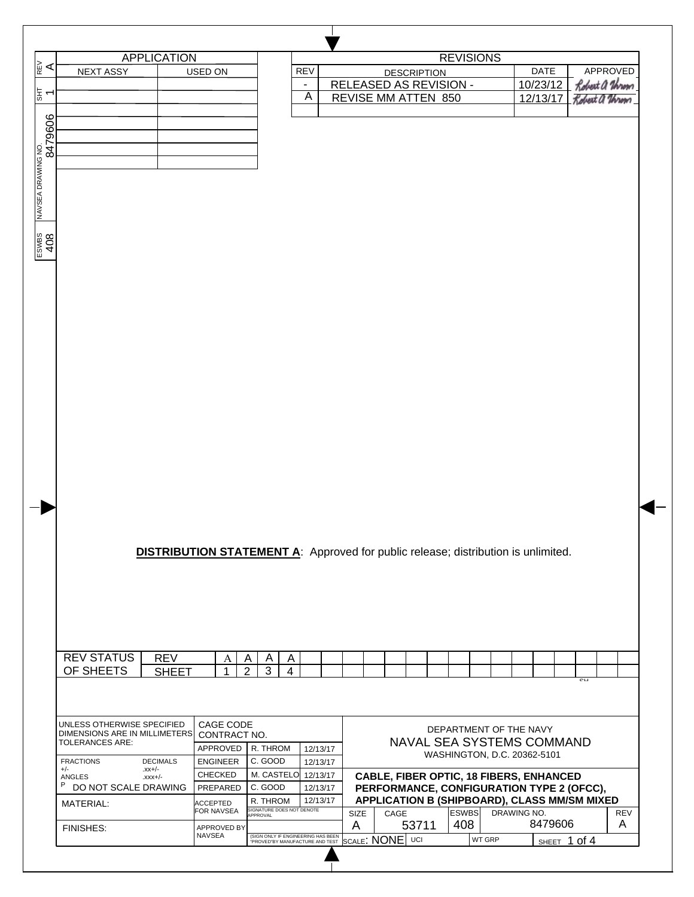| R≧                 |                                                         |                                                                                          |                               |                    |                                       |                |                |                      |                        |      |                    |                        |             |                                              |                |                |
|--------------------|---------------------------------------------------------|------------------------------------------------------------------------------------------|-------------------------------|--------------------|---------------------------------------|----------------|----------------|----------------------|------------------------|------|--------------------|------------------------|-------------|----------------------------------------------|----------------|----------------|
|                    |                                                         | <b>APPLICATION</b>                                                                       |                               |                    |                                       |                |                |                      |                        |      |                    | <b>REVISIONS</b>       |             |                                              |                |                |
|                    | <b>NEXT ASSY</b>                                        |                                                                                          | USED ON                       |                    |                                       |                | <b>REV</b>     |                      |                        |      | <b>DESCRIPTION</b> |                        |             | <b>DATE</b>                                  |                | APPROVED       |
|                    |                                                         |                                                                                          |                               |                    |                                       |                | $\blacksquare$ |                      | RELEASED AS REVISION - |      |                    |                        |             | 10/23/12                                     |                | Robert a Unom  |
| 틺<br>↽             |                                                         |                                                                                          |                               |                    |                                       |                | A              |                      | REVISE MM ATTEN 850    |      |                    |                        |             | 12/13/17                                     |                | Robert a Urrom |
|                    |                                                         |                                                                                          |                               |                    |                                       |                |                |                      |                        |      |                    |                        |             |                                              |                |                |
|                    |                                                         |                                                                                          |                               |                    |                                       |                |                |                      |                        |      |                    |                        |             |                                              |                |                |
| 8479606            |                                                         |                                                                                          |                               |                    |                                       |                |                |                      |                        |      |                    |                        |             |                                              |                |                |
| NAVSEA DRAWING NO. |                                                         |                                                                                          |                               |                    |                                       |                |                |                      |                        |      |                    |                        |             |                                              |                |                |
|                    |                                                         |                                                                                          |                               |                    |                                       |                |                |                      |                        |      |                    |                        |             |                                              |                |                |
|                    |                                                         |                                                                                          |                               |                    |                                       |                |                |                      |                        |      |                    |                        |             |                                              |                |                |
|                    |                                                         |                                                                                          |                               |                    |                                       |                |                |                      |                        |      |                    |                        |             |                                              |                |                |
|                    |                                                         |                                                                                          |                               |                    |                                       |                |                |                      |                        |      |                    |                        |             |                                              |                |                |
|                    |                                                         |                                                                                          |                               |                    |                                       |                |                |                      |                        |      |                    |                        |             |                                              |                |                |
| ESWBS<br>408       |                                                         |                                                                                          |                               |                    |                                       |                |                |                      |                        |      |                    |                        |             |                                              |                |                |
|                    |                                                         |                                                                                          |                               |                    |                                       |                |                |                      |                        |      |                    |                        |             |                                              |                |                |
|                    |                                                         |                                                                                          |                               |                    |                                       |                |                |                      |                        |      |                    |                        |             |                                              |                |                |
|                    |                                                         |                                                                                          |                               |                    |                                       |                |                |                      |                        |      |                    |                        |             |                                              |                |                |
|                    |                                                         |                                                                                          |                               |                    |                                       |                |                |                      |                        |      |                    |                        |             |                                              |                |                |
|                    |                                                         |                                                                                          |                               |                    |                                       |                |                |                      |                        |      |                    |                        |             |                                              |                |                |
|                    |                                                         |                                                                                          |                               |                    |                                       |                |                |                      |                        |      |                    |                        |             |                                              |                |                |
|                    |                                                         |                                                                                          |                               |                    |                                       |                |                |                      |                        |      |                    |                        |             |                                              |                |                |
|                    |                                                         |                                                                                          |                               |                    |                                       |                |                |                      |                        |      |                    |                        |             |                                              |                |                |
|                    |                                                         |                                                                                          |                               |                    |                                       |                |                |                      |                        |      |                    |                        |             |                                              |                |                |
|                    |                                                         |                                                                                          |                               |                    |                                       |                |                |                      |                        |      |                    |                        |             |                                              |                |                |
|                    |                                                         |                                                                                          |                               |                    |                                       |                |                |                      |                        |      |                    |                        |             |                                              |                |                |
|                    |                                                         |                                                                                          |                               |                    |                                       |                |                |                      |                        |      |                    |                        |             |                                              |                |                |
|                    |                                                         |                                                                                          |                               |                    |                                       |                |                |                      |                        |      |                    |                        |             |                                              |                |                |
|                    |                                                         |                                                                                          |                               |                    |                                       |                |                |                      |                        |      |                    |                        |             |                                              |                |                |
|                    |                                                         |                                                                                          |                               |                    |                                       |                |                |                      |                        |      |                    |                        |             |                                              |                |                |
|                    |                                                         |                                                                                          |                               |                    |                                       |                |                |                      |                        |      |                    |                        |             |                                              |                |                |
|                    |                                                         |                                                                                          |                               |                    |                                       |                |                |                      |                        |      |                    |                        |             |                                              |                |                |
|                    |                                                         |                                                                                          |                               |                    |                                       |                |                |                      |                        |      |                    |                        |             |                                              |                |                |
|                    |                                                         |                                                                                          |                               |                    |                                       |                |                |                      |                        |      |                    |                        |             |                                              |                |                |
|                    |                                                         |                                                                                          |                               |                    |                                       |                |                |                      |                        |      |                    |                        |             |                                              |                |                |
|                    |                                                         | <b>DISTRIBUTION STATEMENT A:</b> Approved for public release; distribution is unlimited. |                               |                    |                                       |                |                |                      |                        |      |                    |                        |             |                                              |                |                |
|                    |                                                         |                                                                                          |                               |                    |                                       |                |                |                      |                        |      |                    |                        |             |                                              |                |                |
|                    |                                                         |                                                                                          |                               |                    |                                       |                |                |                      |                        |      |                    |                        |             |                                              |                |                |
|                    |                                                         |                                                                                          |                               |                    |                                       |                |                |                      |                        |      |                    |                        |             |                                              |                |                |
|                    |                                                         |                                                                                          |                               |                    |                                       |                |                |                      |                        |      |                    |                        |             |                                              |                |                |
|                    |                                                         |                                                                                          |                               |                    |                                       |                |                |                      |                        |      |                    |                        |             |                                              |                |                |
|                    |                                                         |                                                                                          |                               |                    |                                       |                |                |                      |                        |      |                    |                        |             |                                              |                |                |
|                    |                                                         |                                                                                          |                               |                    |                                       |                |                |                      |                        |      |                    |                        |             |                                              |                |                |
|                    | <b>REV STATUS</b>                                       | <b>REV</b>                                                                               |                               | A                  | A<br>A                                | A              |                |                      |                        |      |                    |                        |             |                                              |                |                |
|                    | OF SHEETS                                               | <b>SHEET</b>                                                                             |                               | 1                  | $\overline{2}$<br>3                   | $\overline{4}$ |                |                      |                        |      |                    |                        |             |                                              |                |                |
|                    |                                                         |                                                                                          |                               |                    |                                       |                |                |                      |                        |      |                    |                        |             |                                              | $\overline{2}$ |                |
|                    |                                                         |                                                                                          |                               |                    |                                       |                |                |                      |                        |      |                    |                        |             |                                              |                |                |
|                    |                                                         |                                                                                          |                               |                    |                                       |                |                |                      |                        |      |                    |                        |             |                                              |                |                |
|                    |                                                         |                                                                                          |                               |                    |                                       |                |                |                      |                        |      |                    |                        |             |                                              |                |                |
|                    | UNLESS OTHERWISE SPECIFIED                              |                                                                                          |                               | CAGE CODE          |                                       |                |                |                      |                        |      |                    | DEPARTMENT OF THE NAVY |             |                                              |                |                |
|                    | DIMENSIONS ARE IN MILLIMETERS<br><b>TOLERANCES ARE:</b> |                                                                                          |                               | CONTRACT NO.       |                                       |                |                |                      |                        |      |                    |                        |             | NAVAL SEA SYSTEMS COMMAND                    |                |                |
|                    |                                                         |                                                                                          |                               | APPROVED           | R. THROM                              |                |                | 12/13/17             |                        |      |                    |                        |             | WASHINGTON, D.C. 20362-5101                  |                |                |
|                    | <b>FRACTIONS</b><br>$+/-$                               | <b>DECIMALS</b><br>$-xx$ +/-                                                             | <b>ENGINEER</b>               |                    | C. GOOD                               |                |                | 12/13/17             |                        |      |                    |                        |             |                                              |                |                |
|                    | ANGLES<br>P                                             | $-xxx+/-$                                                                                | CHECKED                       |                    | M. CASTELO 12/13/17                   |                |                |                      |                        |      |                    |                        |             | CABLE, FIBER OPTIC, 18 FIBERS, ENHANCED      |                |                |
|                    | DO NOT SCALE DRAWING                                    |                                                                                          |                               | PREPARED           | C. GOOD                               |                |                | 12/13/17<br>12/13/17 |                        |      |                    |                        |             | PERFORMANCE, CONFIGURATION TYPE 2 (OFCC),    |                |                |
|                    | MATERIAL:                                               |                                                                                          | <b>ACCEPTED</b><br>FOR NAVSEA |                    | R. THROM<br>SIGNATURE DOES NOT DENOTE |                |                |                      | SIZE                   | CAGE |                    | <b>ESWBS</b>           | DRAWING NO. | APPLICATION B (SHIPBOARD), CLASS MM/SM MIXED |                | REV            |
|                    | <b>FINISHES:</b>                                        |                                                                                          |                               | <b>APPROVED BY</b> | APPROVAL                              |                |                |                      | A                      |      | 53711              | 408                    |             | 8479606                                      |                | A              |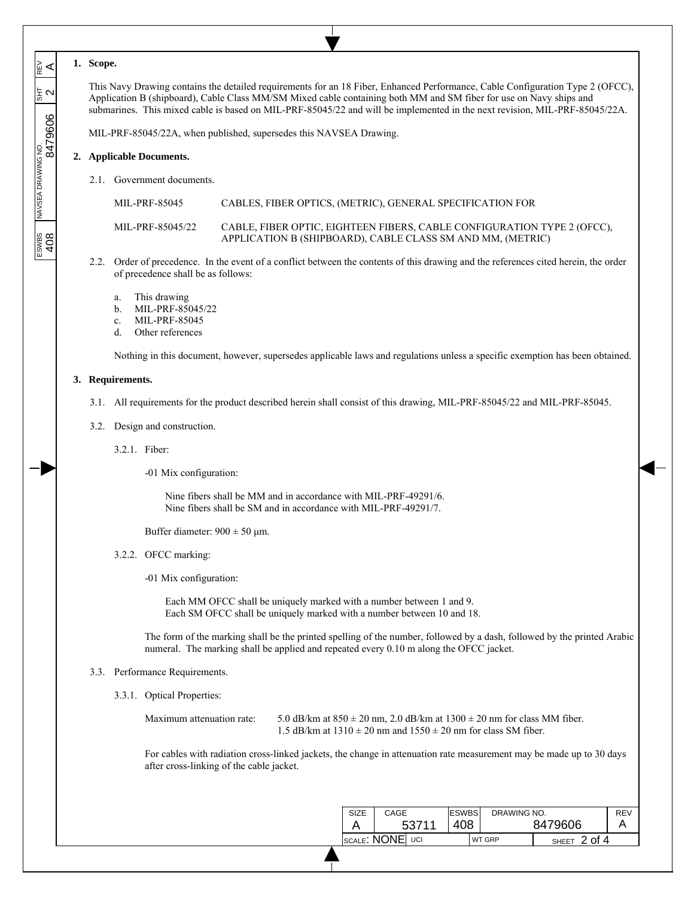|  | Scope. |
|--|--------|
|--|--------|

 $\overline{\phantom{a}}$  $\overline{\phantom{a}}$  $\overline{\phantom{a}}$ 

ะ∝ี

동<br>이

 $\overline{\phantom{a}}$  $\overline{\phantom{a}}$ 

 $\overline{\phantom{a}}$ 

 $\frac{1}{\sqrt{3}}$   $\frac{1}{\sqrt{3}}$   $\frac{1}{\sqrt{3}}$   $\frac{1}{\sqrt{3}}$   $\frac{1}{\sqrt{3}}$   $\frac{1}{\sqrt{3}}$   $\frac{1}{\sqrt{3}}$   $\frac{1}{\sqrt{3}}$   $\frac{1}{\sqrt{3}}$   $\frac{1}{\sqrt{3}}$   $\frac{1}{\sqrt{3}}$   $\frac{1}{\sqrt{3}}$   $\frac{1}{\sqrt{3}}$   $\frac{1}{\sqrt{3}}$   $\frac{1}{\sqrt{3}}$   $\frac{1}{\sqrt{3}}$   $\frac{1}{\sqrt{3}}$ 

ESWBS<br>408

This Navy Drawing contains the detailed requirements for an 18 Fiber, Enhanced Performance, Cable Configuration Type 2 (OFCC), Application B (shipboard), Cable Class MM/SM Mixed cable containing both MM and SM fiber for use on Navy ships and submarines. This mixed cable is based on MIL-PRF-85045/22 and will be implemented in the next revision, MIL-PRF-85045/22A.

MIL-PRF-85045/22A, when published, supersedes this NAVSEA Drawing.

#### **2. Applicable Documents.**

2.1. Government documents.

MIL-PRF-85045 CABLES, FIBER OPTICS, (METRIC), GENERAL SPECIFICATION FOR

MIL-PRF-85045/22 CABLE, FIBER OPTIC, EIGHTEEN FIBERS, CABLE CONFIGURATION TYPE 2 (OFCC), APPLICATION B (SHIPBOARD), CABLE CLASS SM AND MM, (METRIC)

- 2.2. Order of precedence. In the event of a conflict between the contents of this drawing and the references cited herein, the order of precedence shall be as follows:
	- a. This drawing
	- b. MIL-PRF-85045/22
	- c. MIL-PRF-85045
	- d. Other references

Nothing in this document, however, supersedes applicable laws and regulations unless a specific exemption has been obtained.

# **3. Requirements.**

- 3.1. All requirements for the product described herein shall consist of this drawing, MIL-PRF-85045/22 and MIL-PRF-85045.
- 3.2. Design and construction.
	- 3.2.1. Fiber:

-01 Mix configuration:

Nine fibers shall be MM and in accordance with MIL-PRF-49291/6. Nine fibers shall be SM and in accordance with MIL-PRF-49291/7.

Buffer diameter:  $900 \pm 50$  µm.

## 3.2.2. OFCC marking:

-01 Mix configuration:

Each MM OFCC shall be uniquely marked with a number between 1 and 9. Each SM OFCC shall be uniquely marked with a number between 10 and 18.

The form of the marking shall be the printed spelling of the number, followed by a dash, followed by the printed Arabic numeral. The marking shall be applied and repeated every 0.10 m along the OFCC jacket.

#### 3.3. Performance Requirements.

3.3.1. Optical Properties:

Maximum attenuation rate: 5.0 dB/km at  $850 \pm 20$  nm, 2.0 dB/km at  $1300 \pm 20$  nm for class MM fiber. 1.5 dB/km at  $1310 \pm 20$  nm and  $1550 \pm 20$  nm for class SM fiber.

For cables with radiation cross-linked jackets, the change in attenuation rate measurement may be made up to 30 days after cross-linking of the cable jacket.

| <b>SIZE</b> | CAGE<br>53711      | <b>ESWBS</b><br>408 | DRAWING NO.   | 8479606                | <b>REV</b> |
|-------------|--------------------|---------------------|---------------|------------------------|------------|
|             | SCALE: NONE<br>UCI |                     | <b>WT GRP</b> | 2 of 4<br><b>SHEET</b> |            |
|             |                    |                     |               |                        |            |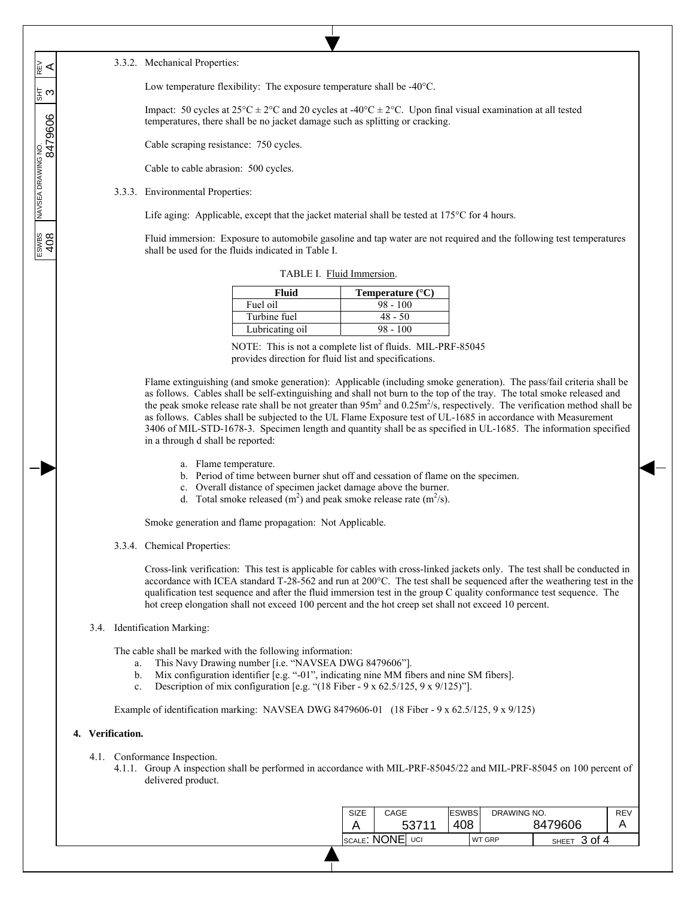#### 3.3.2. Mechanical Properties:

 $\overline{\phantom{a}}$  $\overline{\phantom{a}}$  $\overline{\phantom{a}}$ 

ะ∝ี

 $\overline{\phantom{a}}$  $\overline{\phantom{a}}$ 

 $\overline{\phantom{a}}$ 

 $\frac{1}{\sqrt{1-\frac{1}{8N}}}\sqrt{1-\frac{1}{8N}}$  NAVSEA DRAWING NO.  $\frac{1}{8N}$   $\frac{1}{8N}$ 

 $\frac{2008}{408}$ 

Low temperature flexibility: The exposure temperature shall be -40°C.

Impact: 50 cycles at  $25^{\circ}C \pm 2^{\circ}C$  and 20 cycles at  $-40^{\circ}C \pm 2^{\circ}C$ . Upon final visual examination at all tested temperatures, there shall be no jacket damage such as splitting or cracking.

Cable scraping resistance: 750 cycles.

Cable to cable abrasion: 500 cycles.

3.3.3. Environmental Properties:

Life aging: Applicable, except that the jacket material shall be tested at 175<sup>o</sup>C for 4 hours.

Fluid immersion: Exposure to automobile gasoline and tap water are not required and the following test temperatures shall be used for the fluids indicated in Table I.

| Fluid           | Temperature $(^{\circ}C)$ |
|-----------------|---------------------------|
| Fuel oil        | $98 - 100$                |
| Turbine fuel    | $48 - 50$                 |
| Lubricating oil | $98 - 100$                |

TABLE I. Fluid Immersion.

NOTE: This is not a complete list of fluids. MIL-PRF-85045 provides direction for fluid list and specifications.

Flame extinguishing (and smoke generation): Applicable (including smoke generation). The pass/fail criteria shall be as follows. Cables shall be self-extinguishing and shall not burn to the top of the tray. The total smoke released and the peak smoke release rate shall be not greater than  $95m^2$  and  $0.25m^2/s$ , respectively. The verification method shall be as follows. Cables shall be subjected to the UL Flame Exposure test of UL-1685 in accordance with Measurement 3406 of MIL-STD-1678-3. Specimen length and quantity shall be as specified in UL-1685. The information specified in a through d shall be reported:

- a. Flame temperature.
- b. Period of time between burner shut off and cessation of flame on the specimen.
- c. Overall distance of specimen jacket damage above the burner.
- d. Total smoke released  $(m^2)$  and peak smoke release rate  $(m^2/s)$ .

Smoke generation and flame propagation: Not Applicable.

3.3.4. Chemical Properties:

Cross-link verification: This test is applicable for cables with cross-linked jackets only. The test shall be conducted in accordance with ICEA standard T-28-562 and run at 200°C. The test shall be sequenced after the weathering test in the qualification test sequence and after the fluid immersion test in the group C quality conformance test sequence. The hot creep elongation shall not exceed 100 percent and the hot creep set shall not exceed 10 percent.

3.4. Identification Marking:

The cable shall be marked with the following information:

- a. This Navy Drawing number [i.e. "NAVSEA DWG 8479606"].
- b. Mix configuration identifier [e.g. "-01", indicating nine MM fibers and nine SM fibers].
- c. Description of mix configuration [e.g. " $(18$  Fiber 9 x 62.5/125, 9 x 9/125)"].

Example of identification marking: NAVSEA DWG 8479606-01 (18 Fiber - 9 x 62.5/125, 9 x 9/125)

## **4. Verification.**

- 4.1. Conformance Inspection.
	- 4.1.1. Group A inspection shall be performed in accordance with MIL-PRF-85045/22 and MIL-PRF-85045 on 100 percent of delivered product.

| SIZE            | CAGE |       | <b>ESWBS</b> | DRAWING NO. |                        | REV |
|-----------------|------|-------|--------------|-------------|------------------------|-----|
|                 |      | 53711 | 408          | 8479606     |                        |     |
| SCALE: NONE UCI |      |       |              | WT GRP      | 3 of 4<br><b>SHEET</b> |     |